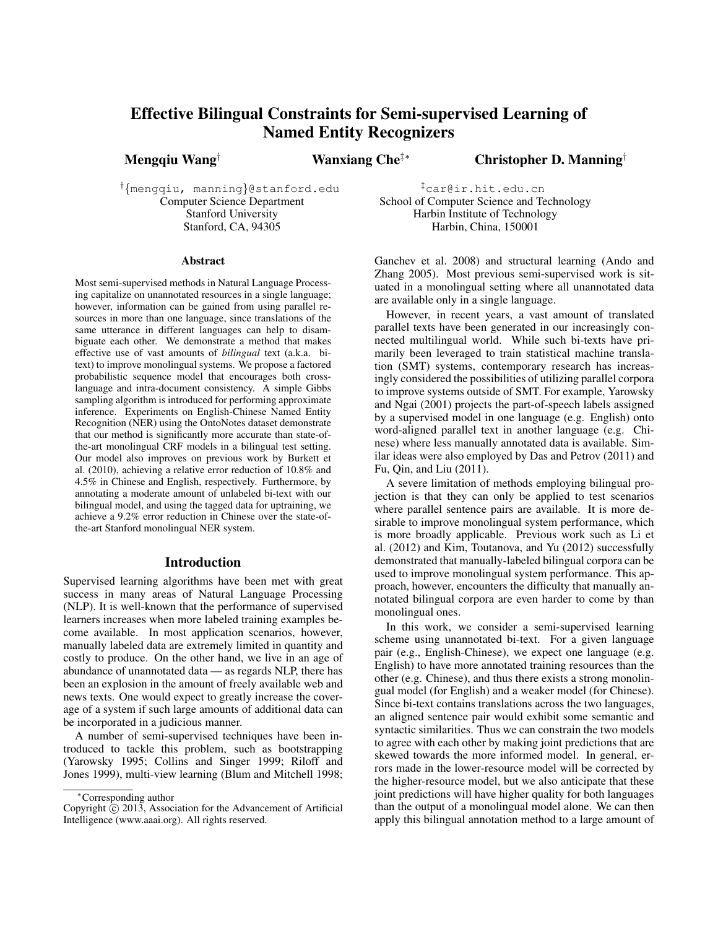# Effective Bilingual Constraints for Semi-supervised Learning of Named Entity Recognizers

Mengqiu Wang† Wanxiang Che‡∗ Christopher D. Manning†

†{mengqiu, manning}@stanford.edu Computer Science Department Stanford University Stanford, CA, 94305

‡car@ir.hit.edu.cn School of Computer Science and Technology Harbin Institute of Technology Harbin, China, 150001

#### Abstract

Most semi-supervised methods in Natural Language Processing capitalize on unannotated resources in a single language; however, information can be gained from using parallel resources in more than one language, since translations of the same utterance in different languages can help to disambiguate each other. We demonstrate a method that makes effective use of vast amounts of *bilingual* text (a.k.a. bitext) to improve monolingual systems. We propose a factored probabilistic sequence model that encourages both crosslanguage and intra-document consistency. A simple Gibbs sampling algorithm is introduced for performing approximate inference. Experiments on English-Chinese Named Entity Recognition (NER) using the OntoNotes dataset demonstrate that our method is significantly more accurate than state-ofthe-art monolingual CRF models in a bilingual test setting. Our model also improves on previous work by Burkett et al. (2010), achieving a relative error reduction of 10.8% and 4.5% in Chinese and English, respectively. Furthermore, by annotating a moderate amount of unlabeled bi-text with our bilingual model, and using the tagged data for uptraining, we achieve a 9.2% error reduction in Chinese over the state-ofthe-art Stanford monolingual NER system.

#### Introduction

Supervised learning algorithms have been met with great success in many areas of Natural Language Processing (NLP). It is well-known that the performance of supervised learners increases when more labeled training examples become available. In most application scenarios, however, manually labeled data are extremely limited in quantity and costly to produce. On the other hand, we live in an age of abundance of unannotated data — as regards NLP, there has been an explosion in the amount of freely available web and news texts. One would expect to greatly increase the coverage of a system if such large amounts of additional data can be incorporated in a judicious manner.

A number of semi-supervised techniques have been introduced to tackle this problem, such as bootstrapping (Yarowsky 1995; Collins and Singer 1999; Riloff and Jones 1999), multi-view learning (Blum and Mitchell 1998;

Ganchev et al. 2008) and structural learning (Ando and Zhang 2005). Most previous semi-supervised work is situated in a monolingual setting where all unannotated data are available only in a single language.

However, in recent years, a vast amount of translated parallel texts have been generated in our increasingly connected multilingual world. While such bi-texts have primarily been leveraged to train statistical machine translation (SMT) systems, contemporary research has increasingly considered the possibilities of utilizing parallel corpora to improve systems outside of SMT. For example, Yarowsky and Ngai (2001) projects the part-of-speech labels assigned by a supervised model in one language (e.g. English) onto word-aligned parallel text in another language (e.g. Chinese) where less manually annotated data is available. Similar ideas were also employed by Das and Petrov (2011) and Fu, Qin, and Liu (2011).

A severe limitation of methods employing bilingual projection is that they can only be applied to test scenarios where parallel sentence pairs are available. It is more desirable to improve monolingual system performance, which is more broadly applicable. Previous work such as Li et al. (2012) and Kim, Toutanova, and Yu (2012) successfully demonstrated that manually-labeled bilingual corpora can be used to improve monolingual system performance. This approach, however, encounters the difficulty that manually annotated bilingual corpora are even harder to come by than monolingual ones.

In this work, we consider a semi-supervised learning scheme using unannotated bi-text. For a given language pair (e.g., English-Chinese), we expect one language (e.g. English) to have more annotated training resources than the other (e.g. Chinese), and thus there exists a strong monolingual model (for English) and a weaker model (for Chinese). Since bi-text contains translations across the two languages, an aligned sentence pair would exhibit some semantic and syntactic similarities. Thus we can constrain the two models to agree with each other by making joint predictions that are skewed towards the more informed model. In general, errors made in the lower-resource model will be corrected by the higher-resource model, but we also anticipate that these joint predictions will have higher quality for both languages than the output of a monolingual model alone. We can then apply this bilingual annotation method to a large amount of

<sup>∗</sup>Corresponding author

Copyright  $\hat{C}$  2013, Association for the Advancement of Artificial Intelligence (www.aaai.org). All rights reserved.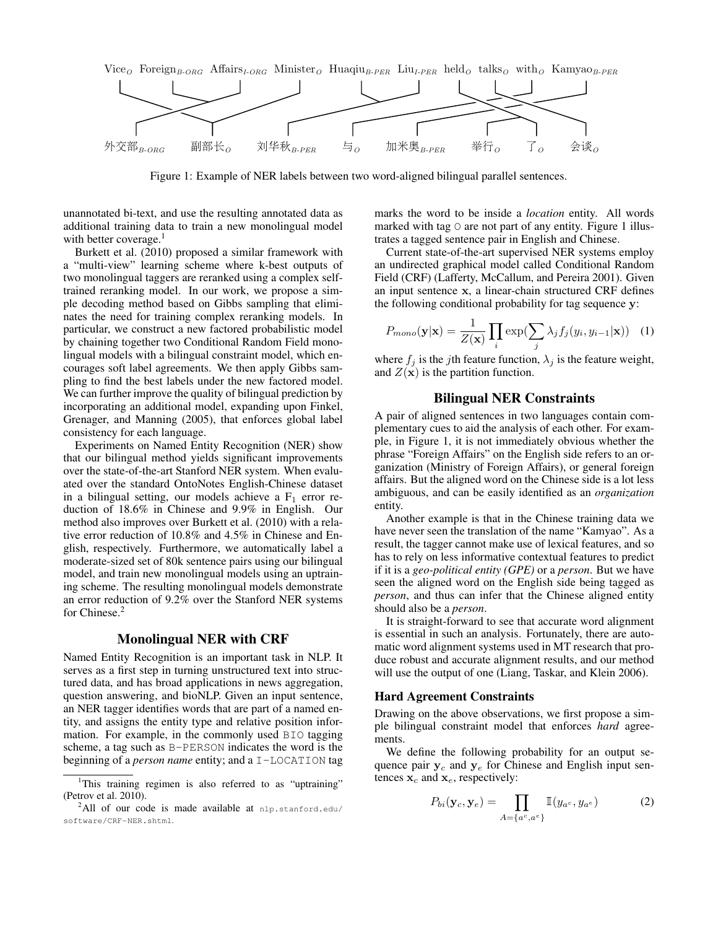

Figure 1: Example of NER labels between two word-aligned bilingual parallel sentences.

unannotated bi-text, and use the resulting annotated data as additional training data to train a new monolingual model with better coverage. $<sup>1</sup>$ </sup>

Burkett et al. (2010) proposed a similar framework with a "multi-view" learning scheme where k-best outputs of two monolingual taggers are reranked using a complex selftrained reranking model. In our work, we propose a simple decoding method based on Gibbs sampling that eliminates the need for training complex reranking models. In particular, we construct a new factored probabilistic model by chaining together two Conditional Random Field monolingual models with a bilingual constraint model, which encourages soft label agreements. We then apply Gibbs sampling to find the best labels under the new factored model. We can further improve the quality of bilingual prediction by incorporating an additional model, expanding upon Finkel, Grenager, and Manning (2005), that enforces global label consistency for each language.

Experiments on Named Entity Recognition (NER) show that our bilingual method yields significant improvements over the state-of-the-art Stanford NER system. When evaluated over the standard OntoNotes English-Chinese dataset in a bilingual setting, our models achieve a  $F_1$  error reduction of 18.6% in Chinese and 9.9% in English. Our method also improves over Burkett et al. (2010) with a relative error reduction of 10.8% and 4.5% in Chinese and English, respectively. Furthermore, we automatically label a moderate-sized set of 80k sentence pairs using our bilingual model, and train new monolingual models using an uptraining scheme. The resulting monolingual models demonstrate an error reduction of 9.2% over the Stanford NER systems for Chinese.<sup>2</sup>

# Monolingual NER with CRF

Named Entity Recognition is an important task in NLP. It serves as a first step in turning unstructured text into structured data, and has broad applications in news aggregation, question answering, and bioNLP. Given an input sentence, an NER tagger identifies words that are part of a named entity, and assigns the entity type and relative position information. For example, in the commonly used BIO tagging scheme, a tag such as B-PERSON indicates the word is the beginning of a *person name* entity; and a I-LOCATION tag marks the word to be inside a *location* entity. All words marked with tag  $\circ$  are not part of any entity. Figure 1 illustrates a tagged sentence pair in English and Chinese.

Current state-of-the-art supervised NER systems employ an undirected graphical model called Conditional Random Field (CRF) (Lafferty, McCallum, and Pereira 2001). Given an input sentence x, a linear-chain structured CRF defines the following conditional probability for tag sequence y:

$$
P_{mono}(\mathbf{y}|\mathbf{x}) = \frac{1}{Z(\mathbf{x})} \prod_{i} \exp(\sum_{j} \lambda_j f_j(y_i, y_{i-1}|\mathbf{x})) \quad (1)
$$

where  $f_j$  is the jth feature function,  $\lambda_j$  is the feature weight, and  $Z(\mathbf{x})$  is the partition function.

## Bilingual NER Constraints

A pair of aligned sentences in two languages contain complementary cues to aid the analysis of each other. For example, in Figure 1, it is not immediately obvious whether the phrase "Foreign Affairs" on the English side refers to an organization (Ministry of Foreign Affairs), or general foreign affairs. But the aligned word on the Chinese side is a lot less ambiguous, and can be easily identified as an *organization* entity.

Another example is that in the Chinese training data we have never seen the translation of the name "Kamyao". As a result, the tagger cannot make use of lexical features, and so has to rely on less informative contextual features to predict if it is a *geo-political entity (GPE)* or a *person*. But we have seen the aligned word on the English side being tagged as *person*, and thus can infer that the Chinese aligned entity should also be a *person*.

It is straight-forward to see that accurate word alignment is essential in such an analysis. Fortunately, there are automatic word alignment systems used in MT research that produce robust and accurate alignment results, and our method will use the output of one (Liang, Taskar, and Klein 2006).

#### Hard Agreement Constraints

Drawing on the above observations, we first propose a simple bilingual constraint model that enforces *hard* agreements.

We define the following probability for an output sequence pair  $y_c$  and  $y_e$  for Chinese and English input sentences  $x_c$  and  $x_e$ , respectively:

$$
P_{bi}(\mathbf{y}_c, \mathbf{y}_e) = \prod_{A = \{a^c, a^e\}} \mathbb{I}(y_{a^c}, y_{a^e})
$$
(2)

<sup>&</sup>lt;sup>1</sup>This training regimen is also referred to as "uptraining" (Petrov et al. 2010).

<sup>&</sup>lt;sup>2</sup>All of our code is made available at n1p.stanford.edu/ software/CRF-NER.shtml.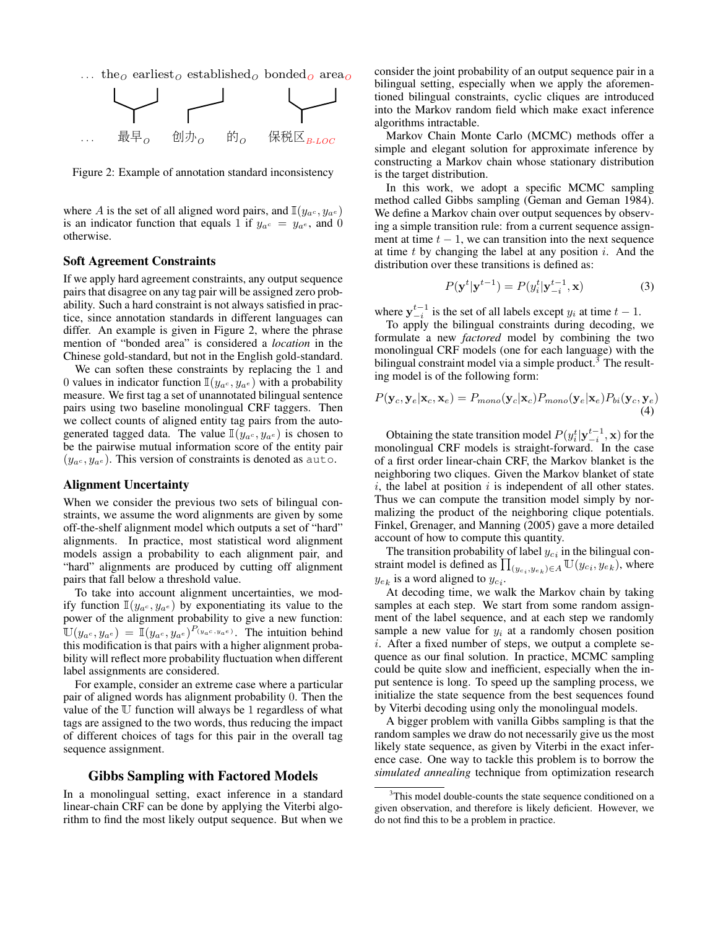... the<sub>O</sub> earliest<sub>O</sub> established<sub>O</sub> bonded<sub>O</sub> area<sub>O</sub>



Figure 2: Example of annotation standard inconsistency

where A is the set of all aligned word pairs, and  $\mathbb{I}(y_{a^c}, y_{a^e})$ is an indicator function that equals 1 if  $y_{a^c} = y_{a^e}$ , and 0 otherwise.

#### Soft Agreement Constraints

If we apply hard agreement constraints, any output sequence pairs that disagree on any tag pair will be assigned zero probability. Such a hard constraint is not always satisfied in practice, since annotation standards in different languages can differ. An example is given in Figure 2, where the phrase mention of "bonded area" is considered a *location* in the Chinese gold-standard, but not in the English gold-standard.

We can soften these constraints by replacing the 1 and 0 values in indicator function  $\mathbb{I}(y_{a^c}, y_{a^e})$  with a probability measure. We first tag a set of unannotated bilingual sentence pairs using two baseline monolingual CRF taggers. Then we collect counts of aligned entity tag pairs from the autogenerated tagged data. The value  $\mathbb{I}(y_{a^c}, y_{a^e})$  is chosen to be the pairwise mutual information score of the entity pair  $(y_{a^c}, y_{a^e})$ . This version of constraints is denoted as auto.

#### Alignment Uncertainty

When we consider the previous two sets of bilingual constraints, we assume the word alignments are given by some off-the-shelf alignment model which outputs a set of "hard" alignments. In practice, most statistical word alignment models assign a probability to each alignment pair, and "hard" alignments are produced by cutting off alignment pairs that fall below a threshold value.

To take into account alignment uncertainties, we modify function  $\mathbb{I}(y_{a^c}, y_{a^e})$  by exponentiating its value to the power of the alignment probability to give a new function:  $\mathbb{U}(y_{a^c}, y_{a^e}) = \mathbb{I}(y_{a^c}, y_{a^e})^{P(y_{a^c}, y_{a^e})}$ . The intuition behind this modification is that pairs with a higher alignment probability will reflect more probability fluctuation when different label assignments are considered.

For example, consider an extreme case where a particular pair of aligned words has alignment probability 0. Then the value of the U function will always be 1 regardless of what tags are assigned to the two words, thus reducing the impact of different choices of tags for this pair in the overall tag sequence assignment.

## Gibbs Sampling with Factored Models

In a monolingual setting, exact inference in a standard linear-chain CRF can be done by applying the Viterbi algorithm to find the most likely output sequence. But when we

consider the joint probability of an output sequence pair in a bilingual setting, especially when we apply the aforementioned bilingual constraints, cyclic cliques are introduced into the Markov random field which make exact inference algorithms intractable.

Markov Chain Monte Carlo (MCMC) methods offer a simple and elegant solution for approximate inference by constructing a Markov chain whose stationary distribution is the target distribution.

In this work, we adopt a specific MCMC sampling method called Gibbs sampling (Geman and Geman 1984). We define a Markov chain over output sequences by observing a simple transition rule: from a current sequence assignment at time  $t - 1$ , we can transition into the next sequence at time  $t$  by changing the label at any position  $i$ . And the distribution over these transitions is defined as:

$$
P(\mathbf{y}^t|\mathbf{y}^{t-1}) = P(y_i^t|\mathbf{y}_{-i}^{t-1}, \mathbf{x})
$$
\n(3)

where  $y_{-i}^{t-1}$  is the set of all labels except  $y_i$  at time  $t-1$ .

To apply the bilingual constraints during decoding, we formulate a new *factored* model by combining the two monolingual CRF models (one for each language) with the bilingual constraint model via a simple product.<sup>3</sup> The resulting model is of the following form:

$$
P(\mathbf{y}_c, \mathbf{y}_e | \mathbf{x}_c, \mathbf{x}_e) = P_{mono}(\mathbf{y}_c | \mathbf{x}_c) P_{mono}(\mathbf{y}_e | \mathbf{x}_e) P_{bi}(\mathbf{y}_c, \mathbf{y}_e)
$$
\n(4)

Obtaining the state transition model  $P(y_i^t | y_{-i}^{t-1}, \mathbf{x})$  for the monolingual CRF models is straight-forward. In the case of a first order linear-chain CRF, the Markov blanket is the neighboring two cliques. Given the Markov blanket of state  $i$ , the label at position  $i$  is independent of all other states. Thus we can compute the transition model simply by normalizing the product of the neighboring clique potentials. Finkel, Grenager, and Manning (2005) gave a more detailed account of how to compute this quantity.

The transition probability of label  $y_{ci}$  in the bilingual constraint model is defined as  $\prod_{(y_{c_i},y_{e_k})\in A} \mathbb{U}(y_{c_i},y_{e_k})$ , where  $y_{e_k}$  is a word aligned to  $y_{c_i}$ .

At decoding time, we walk the Markov chain by taking samples at each step. We start from some random assignment of the label sequence, and at each step we randomly sample a new value for  $y_i$  at a randomly chosen position  $i$ . After a fixed number of steps, we output a complete sequence as our final solution. In practice, MCMC sampling could be quite slow and inefficient, especially when the input sentence is long. To speed up the sampling process, we initialize the state sequence from the best sequences found by Viterbi decoding using only the monolingual models.

A bigger problem with vanilla Gibbs sampling is that the random samples we draw do not necessarily give us the most likely state sequence, as given by Viterbi in the exact inference case. One way to tackle this problem is to borrow the *simulated annealing* technique from optimization research

 $3$ This model double-counts the state sequence conditioned on a given observation, and therefore is likely deficient. However, we do not find this to be a problem in practice.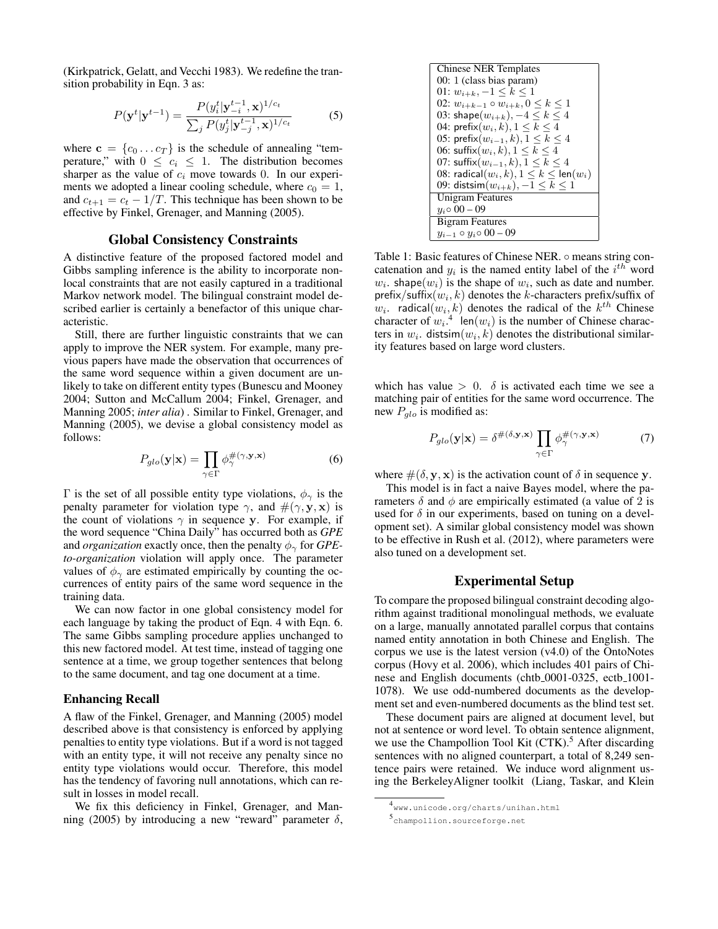(Kirkpatrick, Gelatt, and Vecchi 1983). We redefine the transition probability in Eqn. 3 as:

$$
P(\mathbf{y}^t|\mathbf{y}^{t-1}) = \frac{P(y_i^t|\mathbf{y}_{-i}^{t-1}, \mathbf{x})^{1/c_t}}{\sum_j P(y_j^t|\mathbf{y}_{-j}^{t-1}, \mathbf{x})^{1/c_t}}
$$
(5)

where  $\mathbf{c} = \{c_0 \dots c_T\}$  is the schedule of annealing "temperature," with  $0 \leq c_i \leq 1$ . The distribution becomes sharper as the value of  $c_i$  move towards 0. In our experiments we adopted a linear cooling schedule, where  $c_0 = 1$ , and  $c_{t+1} = c_t - 1/T$ . This technique has been shown to be effective by Finkel, Grenager, and Manning (2005).

## Global Consistency Constraints

A distinctive feature of the proposed factored model and Gibbs sampling inference is the ability to incorporate nonlocal constraints that are not easily captured in a traditional Markov network model. The bilingual constraint model described earlier is certainly a benefactor of this unique characteristic.

Still, there are further linguistic constraints that we can apply to improve the NER system. For example, many previous papers have made the observation that occurrences of the same word sequence within a given document are unlikely to take on different entity types (Bunescu and Mooney 2004; Sutton and McCallum 2004; Finkel, Grenager, and Manning 2005; *inter alia*) . Similar to Finkel, Grenager, and Manning (2005), we devise a global consistency model as follows:

$$
P_{glo}(\mathbf{y}|\mathbf{x}) = \prod_{\gamma \in \Gamma} \phi_{\gamma}^{\#(\gamma, \mathbf{y}, \mathbf{x})}
$$
 (6)

Γ is the set of all possible entity type violations,  $φ<sub>γ</sub>$  is the penalty parameter for violation type  $\gamma$ , and  $\#(\gamma, y, x)$  is the count of violations  $\gamma$  in sequence y. For example, if the word sequence "China Daily" has occurred both as *GPE* and *organization* exactly once, then the penalty  $\phi_{\gamma}$  for *GPEto-organization* violation will apply once. The parameter values of  $\phi_{\gamma}$  are estimated empirically by counting the occurrences of entity pairs of the same word sequence in the training data.

We can now factor in one global consistency model for each language by taking the product of Eqn. 4 with Eqn. 6. The same Gibbs sampling procedure applies unchanged to this new factored model. At test time, instead of tagging one sentence at a time, we group together sentences that belong to the same document, and tag one document at a time.

#### Enhancing Recall

A flaw of the Finkel, Grenager, and Manning (2005) model described above is that consistency is enforced by applying penalties to entity type violations. But if a word is not tagged with an entity type, it will not receive any penalty since no entity type violations would occur. Therefore, this model has the tendency of favoring null annotations, which can result in losses in model recall.

We fix this deficiency in Finkel, Grenager, and Manning (2005) by introducing a new "reward" parameter  $\delta$ ,



Table 1: Basic features of Chinese NER. ○ means string concatenation and  $y_i$  is the named entity label of the  $i^{th}$  word  $w_i$ . shape $(w_i)$  is the shape of  $w_i$ , such as date and number. prefix/suffix $(w_i, k)$  denotes the k-characters prefix/suffix of  $w_i$ . radical $(w_i, k)$  denotes the radical of the  $k^{th}$  Chinese character of  $w_i$ <sup>4</sup> len( $w_i$ ) is the number of Chinese characters in  $w_i$ . distsim $(w_i, k)$  denotes the distributional similarity features based on large word clusters.

which has value  $> 0$ .  $\delta$  is activated each time we see a matching pair of entities for the same word occurrence. The new  $P_{glo}$  is modified as:

$$
P_{glo}(\mathbf{y}|\mathbf{x}) = \delta^{\#(\delta,\mathbf{y},\mathbf{x})} \prod_{\gamma \in \Gamma} \phi^{\#(\gamma,\mathbf{y},\mathbf{x})}_{\gamma} \tag{7}
$$

where  $\#(\delta, \mathbf{y}, \mathbf{x})$  is the activation count of  $\delta$  in sequence y.

This model is in fact a naive Bayes model, where the parameters  $\delta$  and  $\phi$  are empirically estimated (a value of 2 is used for  $\delta$  in our experiments, based on tuning on a development set). A similar global consistency model was shown to be effective in Rush et al. (2012), where parameters were also tuned on a development set.

# Experimental Setup

To compare the proposed bilingual constraint decoding algorithm against traditional monolingual methods, we evaluate on a large, manually annotated parallel corpus that contains named entity annotation in both Chinese and English. The corpus we use is the latest version (v4.0) of the OntoNotes corpus (Hovy et al. 2006), which includes 401 pairs of Chinese and English documents (chtb 0001-0325, ectb 1001-1078). We use odd-numbered documents as the development set and even-numbered documents as the blind test set.

These document pairs are aligned at document level, but not at sentence or word level. To obtain sentence alignment, we use the Champollion Tool Kit  $(CTK)$ .<sup>5</sup> After discarding sentences with no aligned counterpart, a total of 8,249 sentence pairs were retained. We induce word alignment using the BerkeleyAligner toolkit (Liang, Taskar, and Klein

<sup>4</sup> www.unicode.org/charts/unihan.html

<sup>5</sup> champollion.sourceforge.net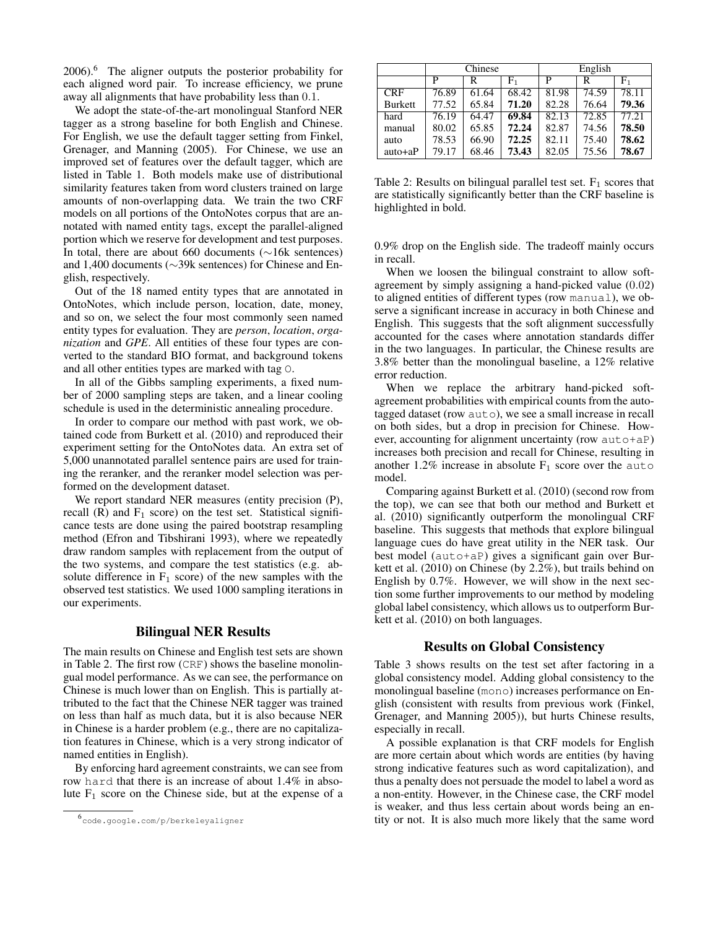2006).<sup>6</sup> The aligner outputs the posterior probability for each aligned word pair. To increase efficiency, we prune away all alignments that have probability less than 0.1.

We adopt the state-of-the-art monolingual Stanford NER tagger as a strong baseline for both English and Chinese. For English, we use the default tagger setting from Finkel, Grenager, and Manning (2005). For Chinese, we use an improved set of features over the default tagger, which are listed in Table 1. Both models make use of distributional similarity features taken from word clusters trained on large amounts of non-overlapping data. We train the two CRF models on all portions of the OntoNotes corpus that are annotated with named entity tags, except the parallel-aligned portion which we reserve for development and test purposes. In total, there are about 660 documents (∼16k sentences) and 1,400 documents (∼39k sentences) for Chinese and English, respectively.

Out of the 18 named entity types that are annotated in OntoNotes, which include person, location, date, money, and so on, we select the four most commonly seen named entity types for evaluation. They are *person*, *location*, *organization* and *GPE*. All entities of these four types are converted to the standard BIO format, and background tokens and all other entities types are marked with tag O.

In all of the Gibbs sampling experiments, a fixed number of 2000 sampling steps are taken, and a linear cooling schedule is used in the deterministic annealing procedure.

In order to compare our method with past work, we obtained code from Burkett et al. (2010) and reproduced their experiment setting for the OntoNotes data. An extra set of 5,000 unannotated parallel sentence pairs are used for training the reranker, and the reranker model selection was performed on the development dataset.

We report standard NER measures (entity precision (P), recall  $(R)$  and  $F_1$  score) on the test set. Statistical significance tests are done using the paired bootstrap resampling method (Efron and Tibshirani 1993), where we repeatedly draw random samples with replacement from the output of the two systems, and compare the test statistics (e.g. absolute difference in  $F_1$  score) of the new samples with the observed test statistics. We used 1000 sampling iterations in our experiments.

# Bilingual NER Results

The main results on Chinese and English test sets are shown in Table 2. The first row (CRF) shows the baseline monolingual model performance. As we can see, the performance on Chinese is much lower than on English. This is partially attributed to the fact that the Chinese NER tagger was trained on less than half as much data, but it is also because NER in Chinese is a harder problem (e.g., there are no capitalization features in Chinese, which is a very strong indicator of named entities in English).

By enforcing hard agreement constraints, we can see from row hard that there is an increase of about 1.4% in absolute  $F_1$  score on the Chinese side, but at the expense of a

|                | Chinese |       |       | English |       |           |
|----------------|---------|-------|-------|---------|-------|-----------|
|                | P       | R     | F1    | P       | R     | $\rm F_1$ |
| <b>CRF</b>     | 76.89   | 61.64 | 68.42 | 81.98   | 74.59 | 78.11     |
| <b>Burkett</b> | 77.52   | 65.84 | 71.20 | 82.28   | 76.64 | 79.36     |
| hard           | 76.19   | 64.47 | 69.84 | 82.13   | 72.85 | 77.21     |
| manual         | 80.02   | 65.85 | 72.24 | 82.87   | 74.56 | 78.50     |
| auto           | 78.53   | 66.90 | 72.25 | 82.11   | 75.40 | 78.62     |
| $auto+aP$      | 79.17   | 68.46 | 73.43 | 82.05   | 75.56 | 78.67     |

Table 2: Results on bilingual parallel test set.  $F_1$  scores that are statistically significantly better than the CRF baseline is highlighted in bold.

0.9% drop on the English side. The tradeoff mainly occurs in recall.

When we loosen the bilingual constraint to allow softagreement by simply assigning a hand-picked value (0.02) to aligned entities of different types (row manual), we observe a significant increase in accuracy in both Chinese and English. This suggests that the soft alignment successfully accounted for the cases where annotation standards differ in the two languages. In particular, the Chinese results are 3.8% better than the monolingual baseline, a 12% relative error reduction.

When we replace the arbitrary hand-picked softagreement probabilities with empirical counts from the autotagged dataset (row auto), we see a small increase in recall on both sides, but a drop in precision for Chinese. However, accounting for alignment uncertainty (row auto+aP) increases both precision and recall for Chinese, resulting in another 1.2% increase in absolute  $F_1$  score over the auto model.

Comparing against Burkett et al. (2010) (second row from the top), we can see that both our method and Burkett et al. (2010) significantly outperform the monolingual CRF baseline. This suggests that methods that explore bilingual language cues do have great utility in the NER task. Our best model (auto+aP) gives a significant gain over Burkett et al. (2010) on Chinese (by 2.2%), but trails behind on English by 0.7%. However, we will show in the next section some further improvements to our method by modeling global label consistency, which allows us to outperform Burkett et al. (2010) on both languages.

## Results on Global Consistency

Table 3 shows results on the test set after factoring in a global consistency model. Adding global consistency to the monolingual baseline (mono) increases performance on English (consistent with results from previous work (Finkel, Grenager, and Manning 2005)), but hurts Chinese results, especially in recall.

A possible explanation is that CRF models for English are more certain about which words are entities (by having strong indicative features such as word capitalization), and thus a penalty does not persuade the model to label a word as a non-entity. However, in the Chinese case, the CRF model is weaker, and thus less certain about words being an entity or not. It is also much more likely that the same word

<sup>6</sup> code.google.com/p/berkeleyaligner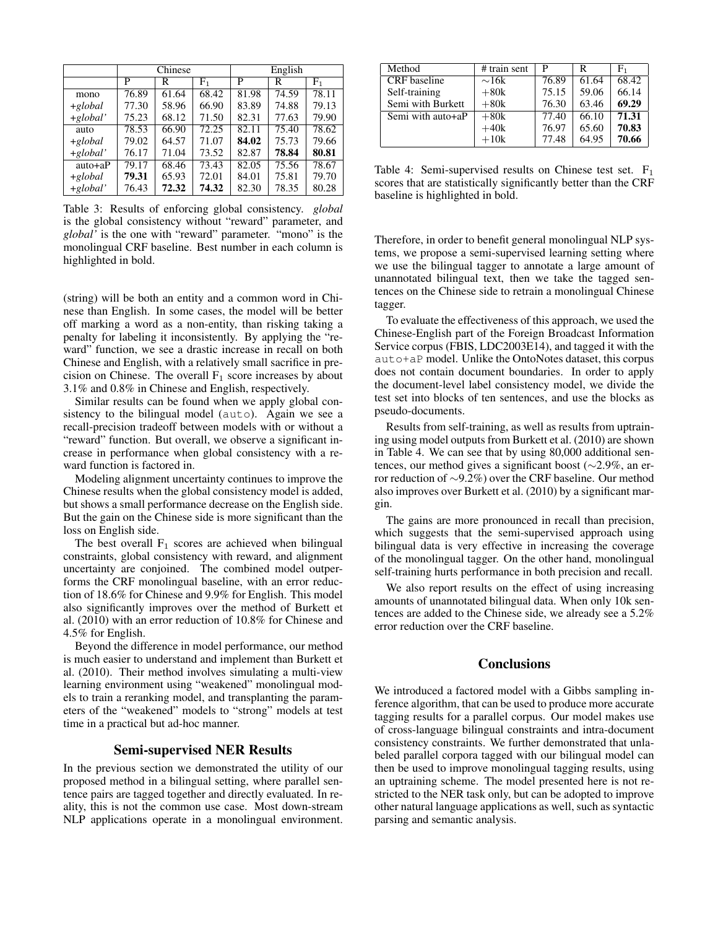|             | Chinese |       |       | English |       |                |
|-------------|---------|-------|-------|---------|-------|----------------|
|             | P       | R     | F1    | P       | R     | F <sub>1</sub> |
| mono        | 76.89   | 61.64 | 68.42 | 81.98   | 74.59 | 78.11          |
| $+global$   | 77.30   | 58.96 | 66.90 | 83.89   | 74.88 | 79.13          |
| $+global'$  | 75.23   | 68.12 | 71.50 | 82.31   | 77.63 | 79.90          |
| auto        | 78.53   | 66.90 | 72.25 | 82.11   | 75.40 | 78.62          |
| $+global$   | 79.02   | 64.57 | 71.07 | 84.02   | 75.73 | 79.66          |
| $+global'$  | 76.17   | 71.04 | 73.52 | 82.87   | 78.84 | 80.81          |
| $auto + aP$ | 79.17   | 68.46 | 73.43 | 82.05   | 75.56 | 78.67          |
| $+global$   | 79.31   | 65.93 | 72.01 | 84.01   | 75.81 | 79.70          |
| $+global'$  | 76.43   | 72.32 | 74.32 | 82.30   | 78.35 | 80.28          |

Table 3: Results of enforcing global consistency. *global* is the global consistency without "reward" parameter, and *global'* is the one with "reward" parameter. "mono" is the monolingual CRF baseline. Best number in each column is highlighted in bold.

(string) will be both an entity and a common word in Chinese than English. In some cases, the model will be better off marking a word as a non-entity, than risking taking a penalty for labeling it inconsistently. By applying the "reward" function, we see a drastic increase in recall on both Chinese and English, with a relatively small sacrifice in precision on Chinese. The overall  $F_1$  score increases by about 3.1% and 0.8% in Chinese and English, respectively.

Similar results can be found when we apply global consistency to the bilingual model (auto). Again we see a recall-precision tradeoff between models with or without a "reward" function. But overall, we observe a significant increase in performance when global consistency with a reward function is factored in.

Modeling alignment uncertainty continues to improve the Chinese results when the global consistency model is added, but shows a small performance decrease on the English side. But the gain on the Chinese side is more significant than the loss on English side.

The best overall  $F_1$  scores are achieved when bilingual constraints, global consistency with reward, and alignment uncertainty are conjoined. The combined model outperforms the CRF monolingual baseline, with an error reduction of 18.6% for Chinese and 9.9% for English. This model also significantly improves over the method of Burkett et al. (2010) with an error reduction of 10.8% for Chinese and 4.5% for English.

Beyond the difference in model performance, our method is much easier to understand and implement than Burkett et al. (2010). Their method involves simulating a multi-view learning environment using "weakened" monolingual models to train a reranking model, and transplanting the parameters of the "weakened" models to "strong" models at test time in a practical but ad-hoc manner.

# Semi-supervised NER Results

In the previous section we demonstrated the utility of our proposed method in a bilingual setting, where parallel sentence pairs are tagged together and directly evaluated. In reality, this is not the common use case. Most down-stream NLP applications operate in a monolingual environment.

| Method                                | # train sent | P     | R     | ${\rm F}_1$ |
|---------------------------------------|--------------|-------|-------|-------------|
| <b>CRF</b> baseline                   | $\sim$ 16k   | 76.89 | 61.64 | 68.42       |
| Self-training                         | $+80k$       | 75.15 | 59.06 | 66.14       |
| Semi with Burkett                     | $+80k$       | 76.30 | 63.46 | 69.29       |
| $\overline{\text{Semi}}$ with auto+aP | $+80k$       | 77.40 | 66.10 | 71.31       |
|                                       | $+40k$       | 76.97 | 65.60 | 70.83       |
|                                       | $+10k$       | 77.48 | 64.95 | 70.66       |

Table 4: Semi-supervised results on Chinese test set.  $F_1$ scores that are statistically significantly better than the CRF baseline is highlighted in bold.

Therefore, in order to benefit general monolingual NLP systems, we propose a semi-supervised learning setting where we use the bilingual tagger to annotate a large amount of unannotated bilingual text, then we take the tagged sentences on the Chinese side to retrain a monolingual Chinese tagger.

To evaluate the effectiveness of this approach, we used the Chinese-English part of the Foreign Broadcast Information Service corpus (FBIS, LDC2003E14), and tagged it with the auto+aP model. Unlike the OntoNotes dataset, this corpus does not contain document boundaries. In order to apply the document-level label consistency model, we divide the test set into blocks of ten sentences, and use the blocks as pseudo-documents.

Results from self-training, as well as results from uptraining using model outputs from Burkett et al. (2010) are shown in Table 4. We can see that by using 80,000 additional sentences, our method gives a significant boost (∼2.9%, an error reduction of ∼9.2%) over the CRF baseline. Our method also improves over Burkett et al. (2010) by a significant margin.

The gains are more pronounced in recall than precision, which suggests that the semi-supervised approach using bilingual data is very effective in increasing the coverage of the monolingual tagger. On the other hand, monolingual self-training hurts performance in both precision and recall.

We also report results on the effect of using increasing amounts of unannotated bilingual data. When only 10k sentences are added to the Chinese side, we already see a 5.2% error reduction over the CRF baseline.

# **Conclusions**

We introduced a factored model with a Gibbs sampling inference algorithm, that can be used to produce more accurate tagging results for a parallel corpus. Our model makes use of cross-language bilingual constraints and intra-document consistency constraints. We further demonstrated that unlabeled parallel corpora tagged with our bilingual model can then be used to improve monolingual tagging results, using an uptraining scheme. The model presented here is not restricted to the NER task only, but can be adopted to improve other natural language applications as well, such as syntactic parsing and semantic analysis.